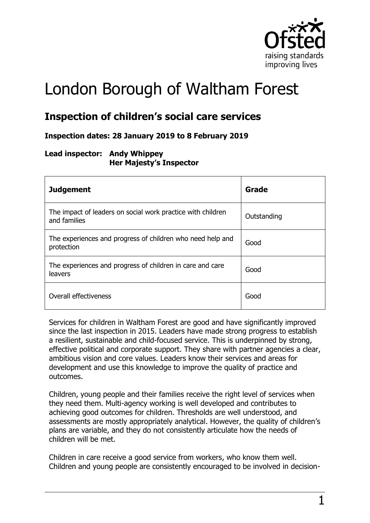

# London Borough of Waltham Forest

# **Inspection of children's social care services**

### **Inspection dates: 28 January 2019 to 8 February 2019**

#### **Lead inspector: Andy Whippey Her Majesty's Inspector**

| <b>Judgement</b>                                                            | Grade       |
|-----------------------------------------------------------------------------|-------------|
| The impact of leaders on social work practice with children<br>and families | Outstanding |
| The experiences and progress of children who need help and<br>protection    | Good        |
| The experiences and progress of children in care and care<br>leavers        | Good        |
| Overall effectiveness                                                       | Good        |

Services for children in Waltham Forest are good and have significantly improved since the last inspection in 2015. Leaders have made strong progress to establish a resilient, sustainable and child-focused service. This is underpinned by strong, effective political and corporate support. They share with partner agencies a clear, ambitious vision and core values. Leaders know their services and areas for development and use this knowledge to improve the quality of practice and outcomes.

Children, young people and their families receive the right level of services when they need them. Multi-agency working is well developed and contributes to achieving good outcomes for children. Thresholds are well understood, and assessments are mostly appropriately analytical. However, the quality of children's plans are variable, and they do not consistently articulate how the needs of children will be met.

Children in care receive a good service from workers, who know them well. Children and young people are consistently encouraged to be involved in decision-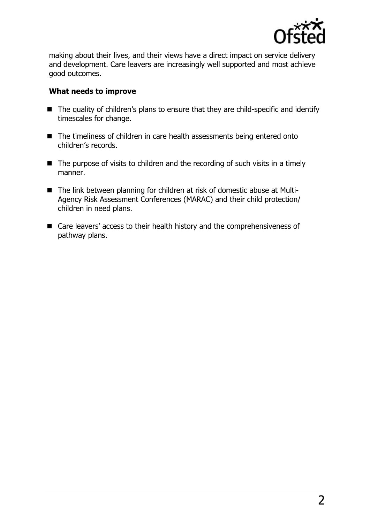

making about their lives, and their views have a direct impact on service delivery and development. Care leavers are increasingly well supported and most achieve good outcomes.

#### **What needs to improve**

- The quality of children's plans to ensure that they are child-specific and identify timescales for change.
- The timeliness of children in care health assessments being entered onto children's records.
- The purpose of visits to children and the recording of such visits in a timely manner.
- The link between planning for children at risk of domestic abuse at Multi-Agency Risk Assessment Conferences (MARAC) and their child protection/ children in need plans.
- Care leavers' access to their health history and the comprehensiveness of pathway plans.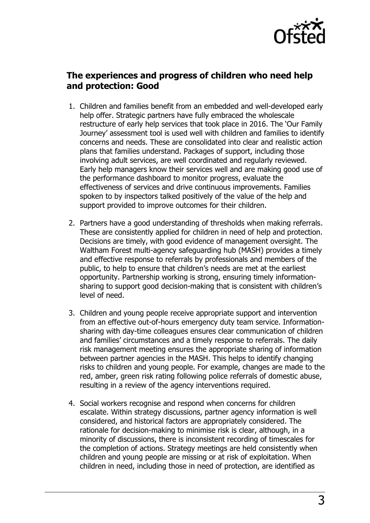

# **The experiences and progress of children who need help and protection: Good**

- 1. Children and families benefit from an embedded and well-developed early help offer. Strategic partners have fully embraced the wholescale restructure of early help services that took place in 2016. The 'Our Family Journey' assessment tool is used well with children and families to identify concerns and needs. These are consolidated into clear and realistic action plans that families understand. Packages of support, including those involving adult services, are well coordinated and regularly reviewed. Early help managers know their services well and are making good use of the performance dashboard to monitor progress, evaluate the effectiveness of services and drive continuous improvements. Families spoken to by inspectors talked positively of the value of the help and support provided to improve outcomes for their children.
- 2. Partners have a good understanding of thresholds when making referrals. These are consistently applied for children in need of help and protection. Decisions are timely, with good evidence of management oversight. The Waltham Forest multi-agency safeguarding hub (MASH) provides a timely and effective response to referrals by professionals and members of the public, to help to ensure that children's needs are met at the earliest opportunity. Partnership working is strong, ensuring timely informationsharing to support good decision-making that is consistent with children's level of need.
- 3. Children and young people receive appropriate support and intervention from an effective out-of-hours emergency duty team service. Informationsharing with day-time colleagues ensures clear communication of children and families' circumstances and a timely response to referrals. The daily risk management meeting ensures the appropriate sharing of information between partner agencies in the MASH. This helps to identify changing risks to children and young people. For example, changes are made to the red, amber, green risk rating following police referrals of domestic abuse, resulting in a review of the agency interventions required.
- 4. Social workers recognise and respond when concerns for children escalate. Within strategy discussions, partner agency information is well considered, and historical factors are appropriately considered. The rationale for decision-making to minimise risk is clear, although, in a minority of discussions, there is inconsistent recording of timescales for the completion of actions. Strategy meetings are held consistently when children and young people are missing or at risk of exploitation. When children in need, including those in need of protection, are identified as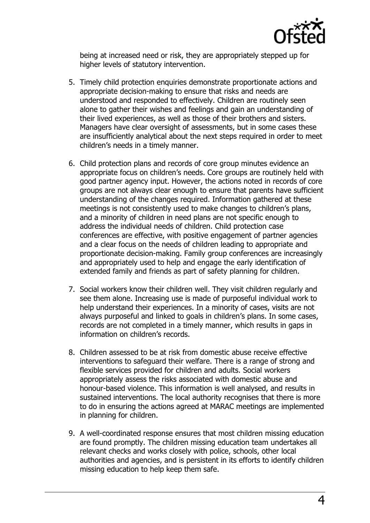

being at increased need or risk, they are appropriately stepped up for higher levels of statutory intervention.

- 5. Timely child protection enquiries demonstrate proportionate actions and appropriate decision-making to ensure that risks and needs are understood and responded to effectively. Children are routinely seen alone to gather their wishes and feelings and gain an understanding of their lived experiences, as well as those of their brothers and sisters. Managers have clear oversight of assessments, but in some cases these are insufficiently analytical about the next steps required in order to meet children's needs in a timely manner.
- 6. Child protection plans and records of core group minutes evidence an appropriate focus on children's needs. Core groups are routinely held with good partner agency input. However, the actions noted in records of core groups are not always clear enough to ensure that parents have sufficient understanding of the changes required. Information gathered at these meetings is not consistently used to make changes to children's plans, and a minority of children in need plans are not specific enough to address the individual needs of children. Child protection case conferences are effective, with positive engagement of partner agencies and a clear focus on the needs of children leading to appropriate and proportionate decision-making. Family group conferences are increasingly and appropriately used to help and engage the early identification of extended family and friends as part of safety planning for children.
- 7. Social workers know their children well. They visit children regularly and see them alone. Increasing use is made of purposeful individual work to help understand their experiences. In a minority of cases, visits are not always purposeful and linked to goals in children's plans. In some cases, records are not completed in a timely manner, which results in gaps in information on children's records.
- 8. Children assessed to be at risk from domestic abuse receive effective interventions to safeguard their welfare. There is a range of strong and flexible services provided for children and adults. Social workers appropriately assess the risks associated with domestic abuse and honour-based violence. This information is well analysed, and results in sustained interventions. The local authority recognises that there is more to do in ensuring the actions agreed at MARAC meetings are implemented in planning for children.
- 9. A well-coordinated response ensures that most children missing education are found promptly. The children missing education team undertakes all relevant checks and works closely with police, schools, other local authorities and agencies, and is persistent in its efforts to identify children missing education to help keep them safe.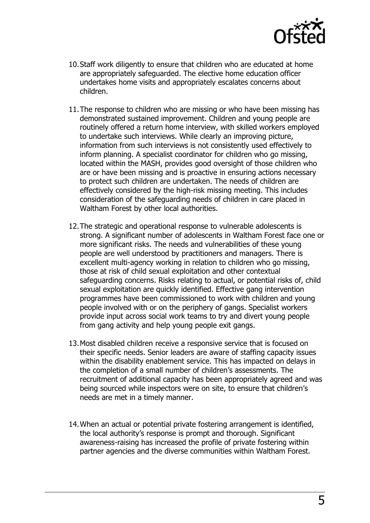

- 10.Staff work diligently to ensure that children who are educated at home are appropriately safeguarded. The elective home education officer undertakes home visits and appropriately escalates concerns about children.
- 11.The response to children who are missing or who have been missing has demonstrated sustained improvement. Children and young people are routinely offered a return home interview, with skilled workers employed to undertake such interviews. While clearly an improving picture, information from such interviews is not consistently used effectively to inform planning. A specialist coordinator for children who go missing, located within the MASH, provides good oversight of those children who are or have been missing and is proactive in ensuring actions necessary to protect such children are undertaken. The needs of children are effectively considered by the high-risk missing meeting. This includes consideration of the safeguarding needs of children in care placed in Waltham Forest by other local authorities.
- 12.The strategic and operational response to vulnerable adolescents is strong. A significant number of adolescents in Waltham Forest face one or more significant risks. The needs and vulnerabilities of these young people are well understood by practitioners and managers. There is excellent multi-agency working in relation to children who go missing, those at risk of child sexual exploitation and other contextual safeguarding concerns. Risks relating to actual, or potential risks of, child sexual exploitation are quickly identified. Effective gang intervention programmes have been commissioned to work with children and young people involved with or on the periphery of gangs. Specialist workers provide input across social work teams to try and divert young people from gang activity and help young people exit gangs.
- 13.Most disabled children receive a responsive service that is focused on their specific needs. Senior leaders are aware of staffing capacity issues within the disability enablement service. This has impacted on delays in the completion of a small number of children's assessments. The recruitment of additional capacity has been appropriately agreed and was being sourced while inspectors were on site, to ensure that children's needs are met in a timely manner.
- 14.When an actual or potential private fostering arrangement is identified, the local authority's response is prompt and thorough. Significant awareness-raising has increased the profile of private fostering within partner agencies and the diverse communities within Waltham Forest.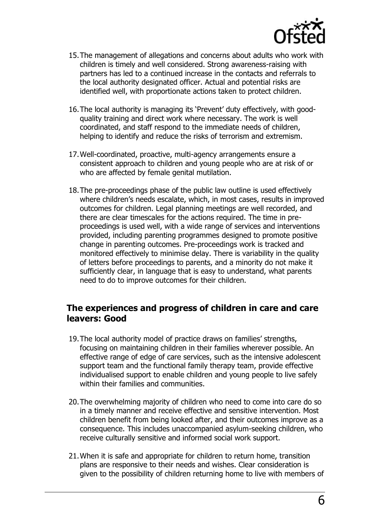

- 15.The management of allegations and concerns about adults who work with children is timely and well considered. Strong awareness-raising with partners has led to a continued increase in the contacts and referrals to the local authority designated officer. Actual and potential risks are identified well, with proportionate actions taken to protect children.
- 16.The local authority is managing its 'Prevent' duty effectively, with goodquality training and direct work where necessary. The work is well coordinated, and staff respond to the immediate needs of children, helping to identify and reduce the risks of terrorism and extremism.
- 17.Well-coordinated, proactive, multi-agency arrangements ensure a consistent approach to children and young people who are at risk of or who are affected by female genital mutilation.
- 18.The pre-proceedings phase of the public law outline is used effectively where children's needs escalate, which, in most cases, results in improved outcomes for children. Legal planning meetings are well recorded, and there are clear timescales for the actions required. The time in preproceedings is used well, with a wide range of services and interventions provided, including parenting programmes designed to promote positive change in parenting outcomes. Pre-proceedings work is tracked and monitored effectively to minimise delay. There is variability in the quality of letters before proceedings to parents, and a minority do not make it sufficiently clear, in language that is easy to understand, what parents need to do to improve outcomes for their children.

## **The experiences and progress of children in care and care leavers: Good**

- 19.The local authority model of practice draws on families' strengths, focusing on maintaining children in their families wherever possible. An effective range of edge of care services, such as the intensive adolescent support team and the functional family therapy team, provide effective individualised support to enable children and young people to live safely within their families and communities.
- 20.The overwhelming majority of children who need to come into care do so in a timely manner and receive effective and sensitive intervention. Most children benefit from being looked after, and their outcomes improve as a consequence. This includes unaccompanied asylum-seeking children, who receive culturally sensitive and informed social work support.
- 21.When it is safe and appropriate for children to return home, transition plans are responsive to their needs and wishes. Clear consideration is given to the possibility of children returning home to live with members of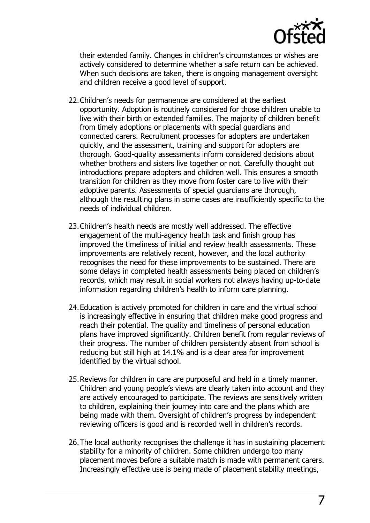

their extended family. Changes in children's circumstances or wishes are actively considered to determine whether a safe return can be achieved. When such decisions are taken, there is ongoing management oversight and children receive a good level of support.

- 22.Children's needs for permanence are considered at the earliest opportunity. Adoption is routinely considered for those children unable to live with their birth or extended families. The majority of children benefit from timely adoptions or placements with special guardians and connected carers. Recruitment processes for adopters are undertaken quickly, and the assessment, training and support for adopters are thorough. Good-quality assessments inform considered decisions about whether brothers and sisters live together or not. Carefully thought out introductions prepare adopters and children well. This ensures a smooth transition for children as they move from foster care to live with their adoptive parents. Assessments of special guardians are thorough, although the resulting plans in some cases are insufficiently specific to the needs of individual children.
- 23.Children's health needs are mostly well addressed. The effective engagement of the multi-agency health task and finish group has improved the timeliness of initial and review health assessments. These improvements are relatively recent, however, and the local authority recognises the need for these improvements to be sustained. There are some delays in completed health assessments being placed on children's records, which may result in social workers not always having up-to-date information regarding children's health to inform care planning.
- 24.Education is actively promoted for children in care and the virtual school is increasingly effective in ensuring that children make good progress and reach their potential. The quality and timeliness of personal education plans have improved significantly. Children benefit from regular reviews of their progress. The number of children persistently absent from school is reducing but still high at 14.1% and is a clear area for improvement identified by the virtual school.
- 25.Reviews for children in care are purposeful and held in a timely manner. Children and young people's views are clearly taken into account and they are actively encouraged to participate. The reviews are sensitively written to children, explaining their journey into care and the plans which are being made with them. Oversight of children's progress by independent reviewing officers is good and is recorded well in children's records.
- 26.The local authority recognises the challenge it has in sustaining placement stability for a minority of children. Some children undergo too many placement moves before a suitable match is made with permanent carers. Increasingly effective use is being made of placement stability meetings,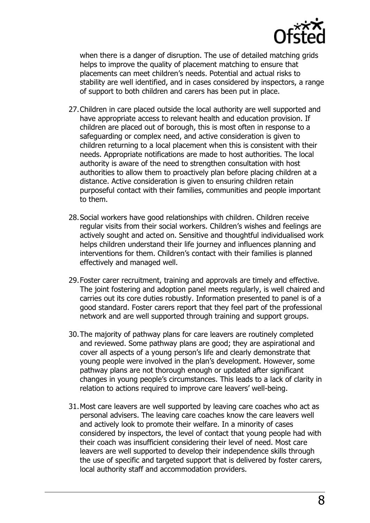

when there is a danger of disruption. The use of detailed matching grids helps to improve the quality of placement matching to ensure that placements can meet children's needs. Potential and actual risks to stability are well identified, and in cases considered by inspectors, a range of support to both children and carers has been put in place.

- 27.Children in care placed outside the local authority are well supported and have appropriate access to relevant health and education provision. If children are placed out of borough, this is most often in response to a safeguarding or complex need, and active consideration is given to children returning to a local placement when this is consistent with their needs. Appropriate notifications are made to host authorities. The local authority is aware of the need to strengthen consultation with host authorities to allow them to proactively plan before placing children at a distance. Active consideration is given to ensuring children retain purposeful contact with their families, communities and people important to them.
- 28.Social workers have good relationships with children. Children receive regular visits from their social workers. Children's wishes and feelings are actively sought and acted on. Sensitive and thoughtful individualised work helps children understand their life journey and influences planning and interventions for them. Children's contact with their families is planned effectively and managed well.
- 29.Foster carer recruitment, training and approvals are timely and effective. The joint fostering and adoption panel meets regularly, is well chaired and carries out its core duties robustly. Information presented to panel is of a good standard. Foster carers report that they feel part of the professional network and are well supported through training and support groups.
- 30.The majority of pathway plans for care leavers are routinely completed and reviewed. Some pathway plans are good; they are aspirational and cover all aspects of a young person's life and clearly demonstrate that young people were involved in the plan's development. However, some pathway plans are not thorough enough or updated after significant changes in young people's circumstances. This leads to a lack of clarity in relation to actions required to improve care leavers' well-being.
- 31.Most care leavers are well supported by leaving care coaches who act as personal advisers. The leaving care coaches know the care leavers well and actively look to promote their welfare. In a minority of cases considered by inspectors, the level of contact that young people had with their coach was insufficient considering their level of need. Most care leavers are well supported to develop their independence skills through the use of specific and targeted support that is delivered by foster carers, local authority staff and accommodation providers.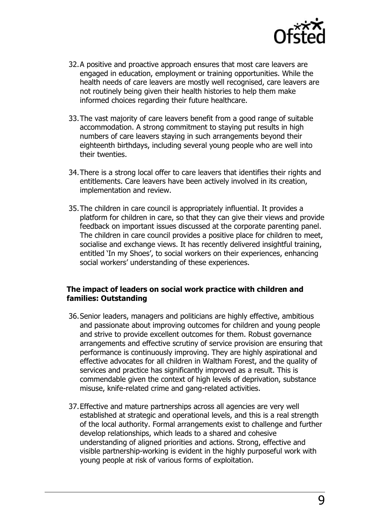

- 32.A positive and proactive approach ensures that most care leavers are engaged in education, employment or training opportunities. While the health needs of care leavers are mostly well recognised, care leavers are not routinely being given their health histories to help them make informed choices regarding their future healthcare.
- 33.The vast majority of care leavers benefit from a good range of suitable accommodation. A strong commitment to staying put results in high numbers of care leavers staying in such arrangements beyond their eighteenth birthdays, including several young people who are well into their twenties.
- 34.There is a strong local offer to care leavers that identifies their rights and entitlements. Care leavers have been actively involved in its creation, implementation and review.
- 35.The children in care council is appropriately influential. It provides a platform for children in care, so that they can give their views and provide feedback on important issues discussed at the corporate parenting panel. The children in care council provides a positive place for children to meet, socialise and exchange views. It has recently delivered insightful training, entitled 'In my Shoes', to social workers on their experiences, enhancing social workers' understanding of these experiences.

#### **The impact of leaders on social work practice with children and families: Outstanding**

- 36.Senior leaders, managers and politicians are highly effective, ambitious and passionate about improving outcomes for children and young people and strive to provide excellent outcomes for them. Robust governance arrangements and effective scrutiny of service provision are ensuring that performance is continuously improving. They are highly aspirational and effective advocates for all children in Waltham Forest, and the quality of services and practice has significantly improved as a result. This is commendable given the context of high levels of deprivation, substance misuse, knife-related crime and gang-related activities.
- 37.Effective and mature partnerships across all agencies are very well established at strategic and operational levels, and this is a real strength of the local authority. Formal arrangements exist to challenge and further develop relationships, which leads to a shared and cohesive understanding of aligned priorities and actions. Strong, effective and visible partnership-working is evident in the highly purposeful work with young people at risk of various forms of exploitation.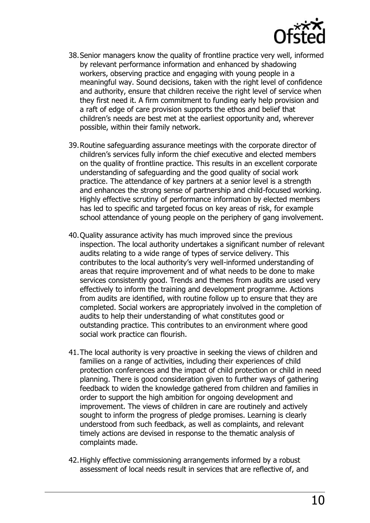

- 38.Senior managers know the quality of frontline practice very well, informed by relevant performance information and enhanced by shadowing workers, observing practice and engaging with young people in a meaningful way. Sound decisions, taken with the right level of confidence and authority, ensure that children receive the right level of service when they first need it. A firm commitment to funding early help provision and a raft of edge of care provision supports the ethos and belief that children's needs are best met at the earliest opportunity and, wherever possible, within their family network.
- 39.Routine safeguarding assurance meetings with the corporate director of children's services fully inform the chief executive and elected members on the quality of frontline practice. This results in an excellent corporate understanding of safeguarding and the good quality of social work practice. The attendance of key partners at a senior level is a strength and enhances the strong sense of partnership and child-focused working. Highly effective scrutiny of performance information by elected members has led to specific and targeted focus on key areas of risk, for example school attendance of young people on the periphery of gang involvement.
- 40.Quality assurance activity has much improved since the previous inspection. The local authority undertakes a significant number of relevant audits relating to a wide range of types of service delivery. This contributes to the local authority's very well-informed understanding of areas that require improvement and of what needs to be done to make services consistently good. Trends and themes from audits are used very effectively to inform the training and development programme. Actions from audits are identified, with routine follow up to ensure that they are completed. Social workers are appropriately involved in the completion of audits to help their understanding of what constitutes good or outstanding practice. This contributes to an environment where good social work practice can flourish.
- 41.The local authority is very proactive in seeking the views of children and families on a range of activities, including their experiences of child protection conferences and the impact of child protection or child in need planning. There is good consideration given to further ways of gathering feedback to widen the knowledge gathered from children and families in order to support the high ambition for ongoing development and improvement. The views of children in care are routinely and actively sought to inform the progress of pledge promises. Learning is clearly understood from such feedback, as well as complaints, and relevant timely actions are devised in response to the thematic analysis of complaints made.
- 42.Highly effective commissioning arrangements informed by a robust assessment of local needs result in services that are reflective of, and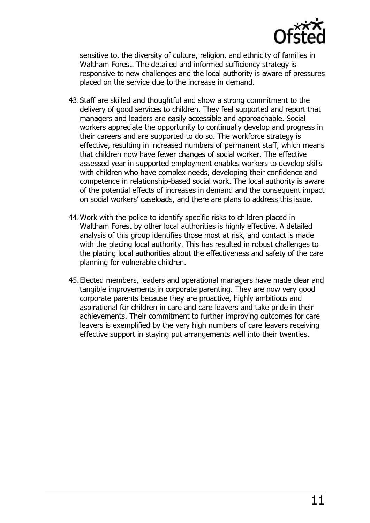

sensitive to, the diversity of culture, religion, and ethnicity of families in Waltham Forest. The detailed and informed sufficiency strategy is responsive to new challenges and the local authority is aware of pressures placed on the service due to the increase in demand.

- 43.Staff are skilled and thoughtful and show a strong commitment to the delivery of good services to children. They feel supported and report that managers and leaders are easily accessible and approachable. Social workers appreciate the opportunity to continually develop and progress in their careers and are supported to do so. The workforce strategy is effective, resulting in increased numbers of permanent staff, which means that children now have fewer changes of social worker. The effective assessed year in supported employment enables workers to develop skills with children who have complex needs, developing their confidence and competence in relationship-based social work. The local authority is aware of the potential effects of increases in demand and the consequent impact on social workers' caseloads, and there are plans to address this issue.
- 44.Work with the police to identify specific risks to children placed in Waltham Forest by other local authorities is highly effective. A detailed analysis of this group identifies those most at risk, and contact is made with the placing local authority. This has resulted in robust challenges to the placing local authorities about the effectiveness and safety of the care planning for vulnerable children.
- 45.Elected members, leaders and operational managers have made clear and tangible improvements in corporate parenting. They are now very good corporate parents because they are proactive, highly ambitious and aspirational for children in care and care leavers and take pride in their achievements. Their commitment to further improving outcomes for care leavers is exemplified by the very high numbers of care leavers receiving effective support in staying put arrangements well into their twenties.